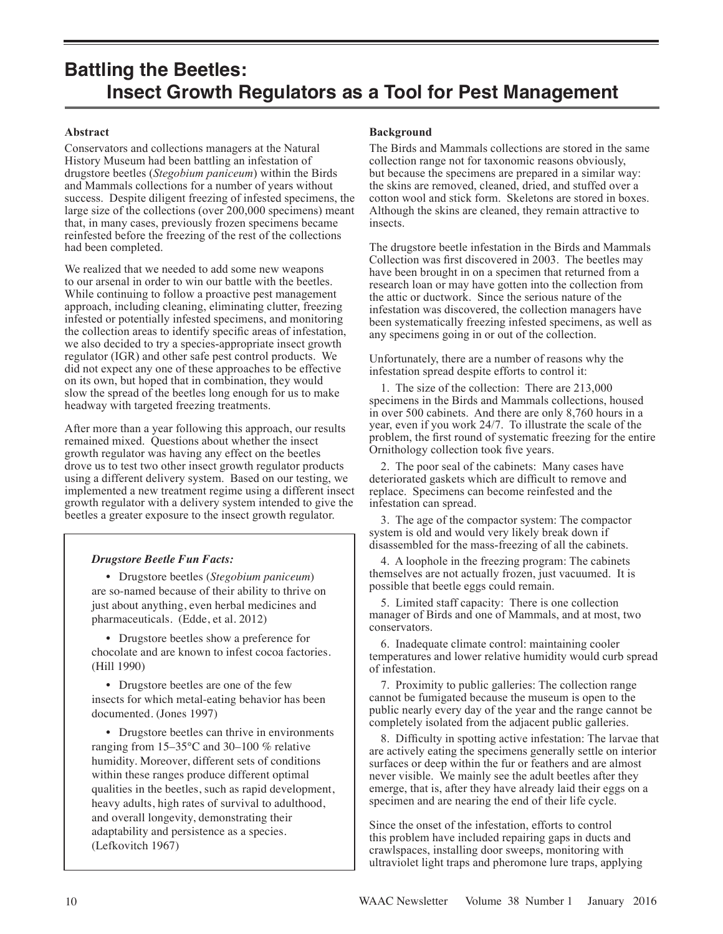## **Abstract**

Conservators and collections managers at the Natural History Museum had been battling an infestation of drugstore beetles (*Stegobium paniceum*) within the Birds and Mammals collections for a number of years without success. Despite diligent freezing of infested specimens, the large size of the collections (over 200,000 specimens) meant that, in many cases, previously frozen specimens became reinfested before the freezing of the rest of the collections had been completed.

We realized that we needed to add some new weapons to our arsenal in order to win our battle with the beetles. While continuing to follow a proactive pest management approach, including cleaning, eliminating clutter, freezing infested or potentially infested specimens, and monitoring the collection areas to identify specific areas of infestation, we also decided to try a species-appropriate insect growth regulator (IGR) and other safe pest control products. We did not expect any one of these approaches to be effective on its own, but hoped that in combination, they would slow the spread of the beetles long enough for us to make headway with targeted freezing treatments.

After more than a year following this approach, our results remained mixed. Questions about whether the insect growth regulator was having any effect on the beetles drove us to test two other insect growth regulator products using a different delivery system. Based on our testing, we implemented a new treatment regime using a different insect growth regulator with a delivery system intended to give the beetles a greater exposure to the insect growth regulator.

## *Drugstore Beetle Fun Facts:*

 • Drugstore beetles (*Stegobium paniceum*) are so-named because of their ability to thrive on just about anything, even herbal medicines and pharmaceuticals. (Edde, et al. 2012)

 • Drugstore beetles show a preference for chocolate and are known to infest cocoa factories. (Hill 1990)

 • Drugstore beetles are one of the few insects for which metal-eating behavior has been documented. (Jones 1997)

 • Drugstore beetles can thrive in environments ranging from 15–35°C and 30–100 % relative humidity. Moreover, different sets of conditions within these ranges produce different optimal qualities in the beetles, such as rapid development, heavy adults, high rates of survival to adulthood, and overall longevity, demonstrating their adaptability and persistence as a species. (Lefkovitch 1967)

### **Background**

The Birds and Mammals collections are stored in the same collection range not for taxonomic reasons obviously, but because the specimens are prepared in a similar way: the skins are removed, cleaned, dried, and stuffed over a cotton wool and stick form. Skeletons are stored in boxes. Although the skins are cleaned, they remain attractive to insects.

The drugstore beetle infestation in the Birds and Mammals Collection was first discovered in 2003. The beetles may have been brought in on a specimen that returned from a research loan or may have gotten into the collection from the attic or ductwork. Since the serious nature of the infestation was discovered, the collection managers have been systematically freezing infested specimens, as well as any specimens going in or out of the collection.

Unfortunately, there are a number of reasons why the infestation spread despite efforts to control it:

 1. The size of the collection: There are 213,000 specimens in the Birds and Mammals collections, housed in over 500 cabinets. And there are only 8,760 hours in a year, even if you work 24/7. To illustrate the scale of the problem, the first round of systematic freezing for the entire Ornithology collection took five years.

 2. The poor seal of the cabinets: Many cases have deteriorated gaskets which are difficult to remove and replace. Specimens can become reinfested and the infestation can spread.

 3. The age of the compactor system: The compactor system is old and would very likely break down if disassembled for the mass-freezing of all the cabinets.

 4. A loophole in the freezing program: The cabinets themselves are not actually frozen, just vacuumed. It is possible that beetle eggs could remain.

 5. Limited staff capacity: There is one collection manager of Birds and one of Mammals, and at most, two conservators.

 6. Inadequate climate control: maintaining cooler temperatures and lower relative humidity would curb spread of infestation.

 7. Proximity to public galleries: The collection range cannot be fumigated because the museum is open to the public nearly every day of the year and the range cannot be completely isolated from the adjacent public galleries.

 8. Difficulty in spotting active infestation: The larvae that are actively eating the specimens generally settle on interior surfaces or deep within the fur or feathers and are almost never visible. We mainly see the adult beetles after they emerge, that is, after they have already laid their eggs on a specimen and are nearing the end of their life cycle.

Since the onset of the infestation, efforts to control this problem have included repairing gaps in ducts and crawlspaces, installing door sweeps, monitoring with ultraviolet light traps and pheromone lure traps, applying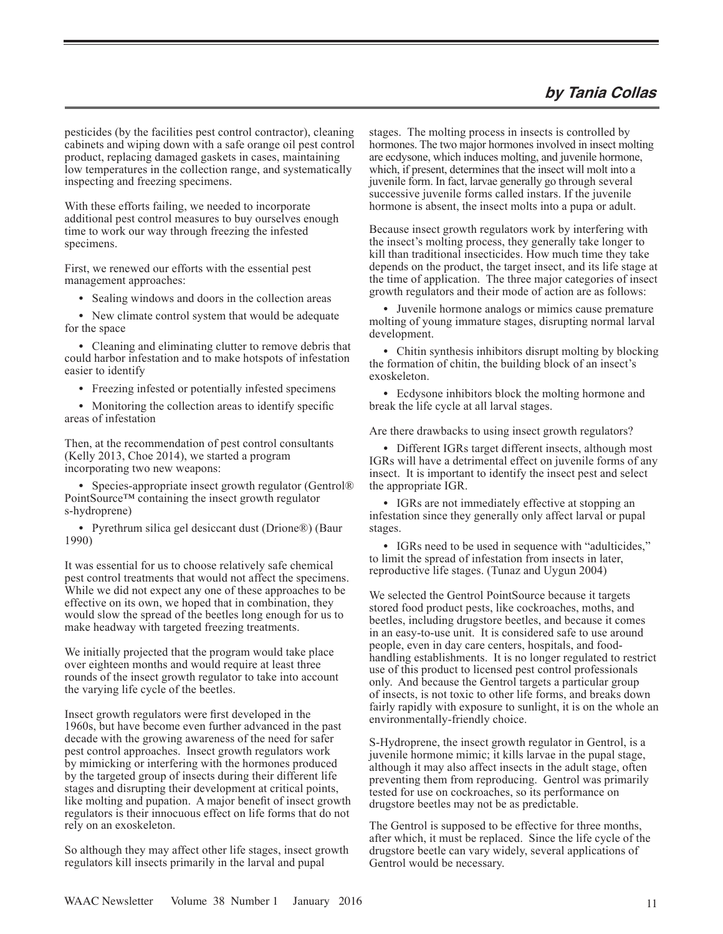## **by Tania Collas**

pesticides (by the facilities pest control contractor), cleaning cabinets and wiping down with a safe orange oil pest control product, replacing damaged gaskets in cases, maintaining low temperatures in the collection range, and systematically inspecting and freezing specimens.

With these efforts failing, we needed to incorporate additional pest control measures to buy ourselves enough time to work our way through freezing the infested specimens.

First, we renewed our efforts with the essential pest management approaches:

• Sealing windows and doors in the collection areas

 • New climate control system that would be adequate for the space

 • Cleaning and eliminating clutter to remove debris that could harbor infestation and to make hotspots of infestation easier to identify

• Freezing infested or potentially infested specimens

• Monitoring the collection areas to identify specific areas of infestation

Then, at the recommendation of pest control consultants (Kelly 2013, Choe 2014), we started a program incorporating two new weapons:

• Species-appropriate insect growth regulator (Gentrol® PointSource™ containing the insect growth regulator s-hydroprene)

• Pyrethrum silica gel desiccant dust (Drione®) (Baur 1990)

It was essential for us to choose relatively safe chemical pest control treatments that would not affect the specimens. While we did not expect any one of these approaches to be effective on its own, we hoped that in combination, they would slow the spread of the beetles long enough for us to make headway with targeted freezing treatments.

We initially projected that the program would take place over eighteen months and would require at least three rounds of the insect growth regulator to take into account the varying life cycle of the beetles.

Insect growth regulators were first developed in the 1960s, but have become even further advanced in the past decade with the growing awareness of the need for safer pest control approaches. Insect growth regulators work by mimicking or interfering with the hormones produced by the targeted group of insects during their different life stages and disrupting their development at critical points, like molting and pupation. A major benefit of insect growth regulators is their innocuous effect on life forms that do not rely on an exoskeleton.

So although they may affect other life stages, insect growth regulators kill insects primarily in the larval and pupal

stages. The molting process in insects is controlled by hormones. The two major hormones involved in insect molting are ecdysone, which induces molting, and juvenile hormone, which, if present, determines that the insect will molt into a juvenile form. In fact, larvae generally go through several successive juvenile forms called instars. If the juvenile hormone is absent, the insect molts into a pupa or adult.

Because insect growth regulators work by interfering with the insect's molting process, they generally take longer to kill than traditional insecticides. How much time they take depends on the product, the target insect, and its life stage at the time of application. The three major categories of insect growth regulators and their mode of action are as follows:

 • Juvenile hormone analogs or mimics cause premature molting of young immature stages, disrupting normal larval development.

• Chitin synthesis inhibitors disrupt molting by blocking the formation of chitin, the building block of an insect's exoskeleton.

 • Ecdysone inhibitors block the molting hormone and break the life cycle at all larval stages.

Are there drawbacks to using insect growth regulators?

• Different IGRs target different insects, although most IGRs will have a detrimental effect on juvenile forms of any insect. It is important to identify the insect pest and select the appropriate IGR.

 • IGRs are not immediately effective at stopping an infestation since they generally only affect larval or pupal stages.

 • IGRs need to be used in sequence with "adulticides," to limit the spread of infestation from insects in later, reproductive life stages. (Tunaz and Uygun 2004)

We selected the Gentrol PointSource because it targets stored food product pests, like cockroaches, moths, and beetles, including drugstore beetles, and because it comes in an easy-to-use unit. It is considered safe to use around people, even in day care centers, hospitals, and foodhandling establishments. It is no longer regulated to restrict use of this product to licensed pest control professionals only. And because the Gentrol targets a particular group of insects, is not toxic to other life forms, and breaks down fairly rapidly with exposure to sunlight, it is on the whole an environmentally-friendly choice.

S-Hydroprene, the insect growth regulator in Gentrol, is a juvenile hormone mimic; it kills larvae in the pupal stage, although it may also affect insects in the adult stage, often preventing them from reproducing. Gentrol was primarily tested for use on cockroaches, so its performance on drugstore beetles may not be as predictable.

The Gentrol is supposed to be effective for three months, after which, it must be replaced. Since the life cycle of the drugstore beetle can vary widely, several applications of Gentrol would be necessary.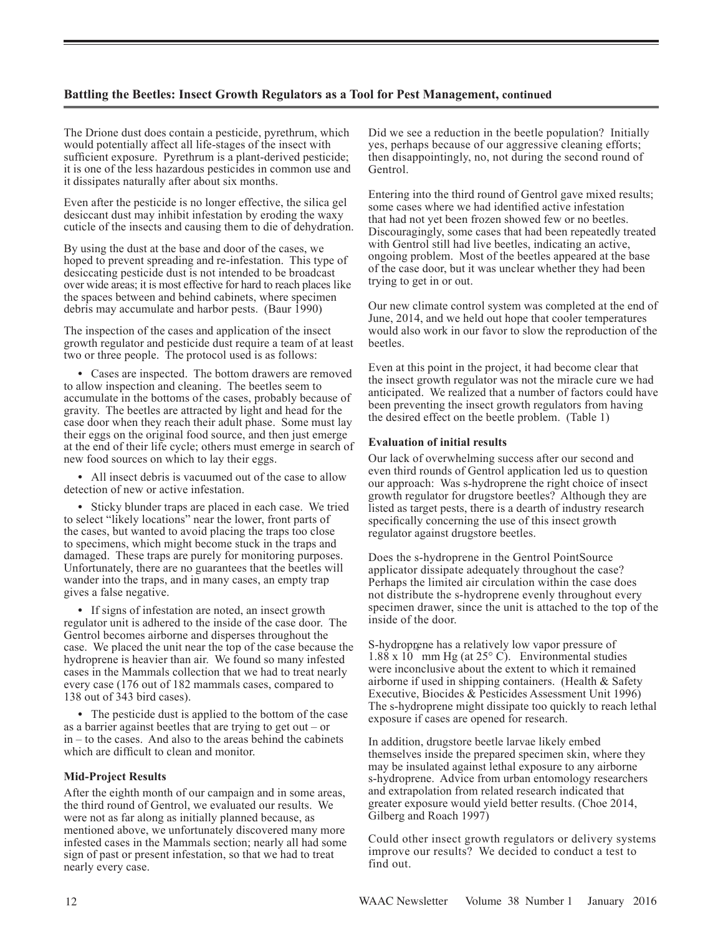The Drione dust does contain a pesticide, pyrethrum, which would potentially affect all life-stages of the insect with sufficient exposure. Pyrethrum is a plant-derived pesticide; it is one of the less hazardous pesticides in common use and it dissipates naturally after about six months.

Even after the pesticide is no longer effective, the silica gel desiccant dust may inhibit infestation by eroding the waxy cuticle of the insects and causing them to die of dehydration.

By using the dust at the base and door of the cases, we hoped to prevent spreading and re-infestation. This type of desiccating pesticide dust is not intended to be broadcast over wide areas; it is most effective for hard to reach places like the spaces between and behind cabinets, where specimen debris may accumulate and harbor pests. (Baur 1990)

The inspection of the cases and application of the insect growth regulator and pesticide dust require a team of at least two or three people. The protocol used is as follows:

 • Cases are inspected. The bottom drawers are removed to allow inspection and cleaning. The beetles seem to accumulate in the bottoms of the cases, probably because of gravity. The beetles are attracted by light and head for the case door when they reach their adult phase. Some must lay their eggs on the original food source, and then just emerge at the end of their life cycle; others must emerge in search of new food sources on which to lay their eggs.

• All insect debris is vacuumed out of the case to allow detection of new or active infestation.

 • Sticky blunder traps are placed in each case. We tried to select "likely locations" near the lower, front parts of the cases, but wanted to avoid placing the traps too close to specimens, which might become stuck in the traps and damaged. These traps are purely for monitoring purposes. Unfortunately, there are no guarantees that the beetles will wander into the traps, and in many cases, an empty trap gives a false negative.

 • If signs of infestation are noted, an insect growth regulator unit is adhered to the inside of the case door. The Gentrol becomes airborne and disperses throughout the case. We placed the unit near the top of the case because the hydroprene is heavier than air. We found so many infested cases in the Mammals collection that we had to treat nearly every case (176 out of 182 mammals cases, compared to 138 out of 343 bird cases).

 • The pesticide dust is applied to the bottom of the case as a barrier against beetles that are trying to get out – or in – to the cases. And also to the areas behind the cabinets which are difficult to clean and monitor.

#### **Mid-Project Results**

After the eighth month of our campaign and in some areas, the third round of Gentrol, we evaluated our results. We were not as far along as initially planned because, as mentioned above, we unfortunately discovered many more infested cases in the Mammals section; nearly all had some sign of past or present infestation, so that we had to treat nearly every case.

Did we see a reduction in the beetle population? Initially yes, perhaps because of our aggressive cleaning efforts; then disappointingly, no, not during the second round of Gentrol.

Entering into the third round of Gentrol gave mixed results; some cases where we had identified active infestation that had not yet been frozen showed few or no beetles. Discouragingly, some cases that had been repeatedly treated with Gentrol still had live beetles, indicating an active, ongoing problem. Most of the beetles appeared at the base of the case door, but it was unclear whether they had been trying to get in or out.

Our new climate control system was completed at the end of June, 2014, and we held out hope that cooler temperatures would also work in our favor to slow the reproduction of the beetles.

Even at this point in the project, it had become clear that the insect growth regulator was not the miracle cure we had anticipated. We realized that a number of factors could have been preventing the insect growth regulators from having the desired effect on the beetle problem. (Table 1)

#### **Evaluation of initial results**

Our lack of overwhelming success after our second and even third rounds of Gentrol application led us to question our approach: Was s-hydroprene the right choice of insect growth regulator for drugstore beetles? Although they are listed as target pests, there is a dearth of industry research specifically concerning the use of this insect growth regulator against drugstore beetles.

Does the s-hydroprene in the Gentrol PointSource applicator dissipate adequately throughout the case? Perhaps the limited air circulation within the case does not distribute the s-hydroprene evenly throughout every specimen drawer, since the unit is attached to the top of the inside of the door.

S-hydroprene has a relatively low vapor pressure of  $1.88 \times 10^{-4}$  mm Hg (at  $25^{\circ}$  C). Environmental studies were inconclusive about the extent to which it remained airborne if used in shipping containers. (Health & Safety Executive, Biocides & Pesticides Assessment Unit 1996) The s-hydroprene might dissipate too quickly to reach lethal exposure if cases are opened for research.

In addition, drugstore beetle larvae likely embed themselves inside the prepared specimen skin, where they may be insulated against lethal exposure to any airborne s-hydroprene. Advice from urban entomology researchers and extrapolation from related research indicated that greater exposure would yield better results. (Choe 2014, Gilberg and Roach 1997)

Could other insect growth regulators or delivery systems improve our results? We decided to conduct a test to find out.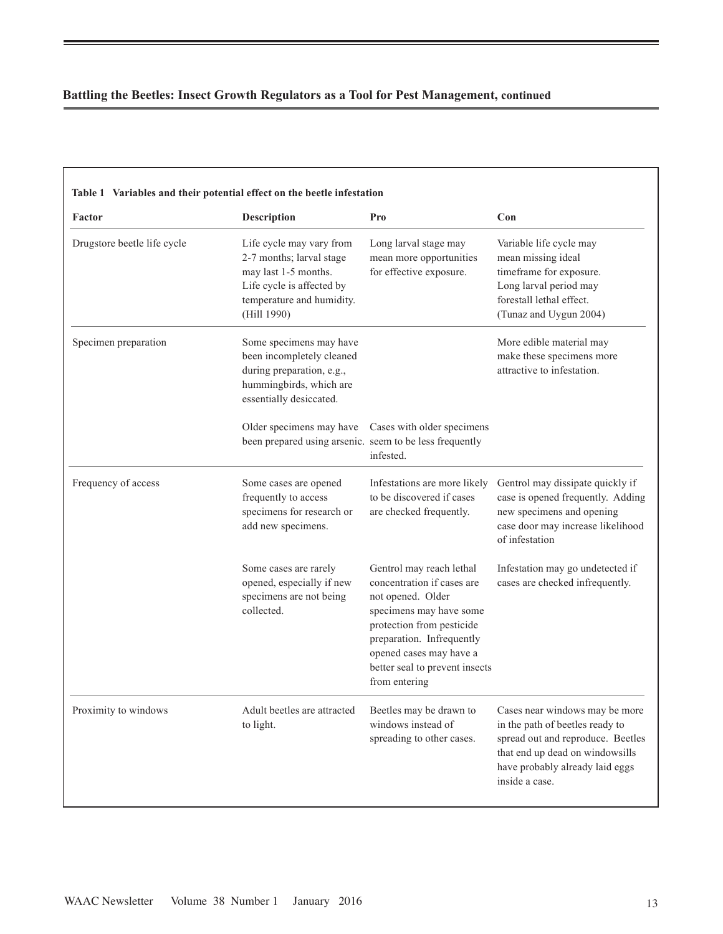| Factor                      | Description                                                                                                                                           | Pro                                                                                                                                                                                                                                            | Con                                                                                                                                                                                            |
|-----------------------------|-------------------------------------------------------------------------------------------------------------------------------------------------------|------------------------------------------------------------------------------------------------------------------------------------------------------------------------------------------------------------------------------------------------|------------------------------------------------------------------------------------------------------------------------------------------------------------------------------------------------|
| Drugstore beetle life cycle | Life cycle may vary from<br>2-7 months; larval stage<br>may last 1-5 months.<br>Life cycle is affected by<br>temperature and humidity.<br>(Hill 1990) | Long larval stage may<br>mean more opportunities<br>for effective exposure.                                                                                                                                                                    | Variable life cycle may<br>mean missing ideal<br>timeframe for exposure.<br>Long larval period may<br>forestall lethal effect.<br>(Tunaz and Uygun 2004)                                       |
| Specimen preparation        | Some specimens may have<br>been incompletely cleaned<br>during preparation, e.g.,<br>hummingbirds, which are<br>essentially desiccated.               |                                                                                                                                                                                                                                                | More edible material may<br>make these specimens more<br>attractive to infestation.                                                                                                            |
|                             | been prepared using arsenic. seem to be less frequently                                                                                               | Older specimens may have Cases with older specimens<br>infested.                                                                                                                                                                               |                                                                                                                                                                                                |
| Frequency of access         | Some cases are opened<br>frequently to access<br>specimens for research or<br>add new specimens.                                                      | Infestations are more likely<br>to be discovered if cases<br>are checked frequently.                                                                                                                                                           | Gentrol may dissipate quickly if<br>case is opened frequently. Adding<br>new specimens and opening<br>case door may increase likelihood<br>of infestation                                      |
|                             | Some cases are rarely<br>opened, especially if new<br>specimens are not being<br>collected.                                                           | Gentrol may reach lethal<br>concentration if cases are<br>not opened. Older<br>specimens may have some<br>protection from pesticide<br>preparation. Infrequently<br>opened cases may have a<br>better seal to prevent insects<br>from entering | Infestation may go undetected if<br>cases are checked infrequently.                                                                                                                            |
| Proximity to windows        | Adult beetles are attracted<br>to light.                                                                                                              | Beetles may be drawn to<br>windows instead of<br>spreading to other cases.                                                                                                                                                                     | Cases near windows may be more<br>in the path of beetles ready to<br>spread out and reproduce. Beetles<br>that end up dead on windowsills<br>have probably already laid eggs<br>inside a case. |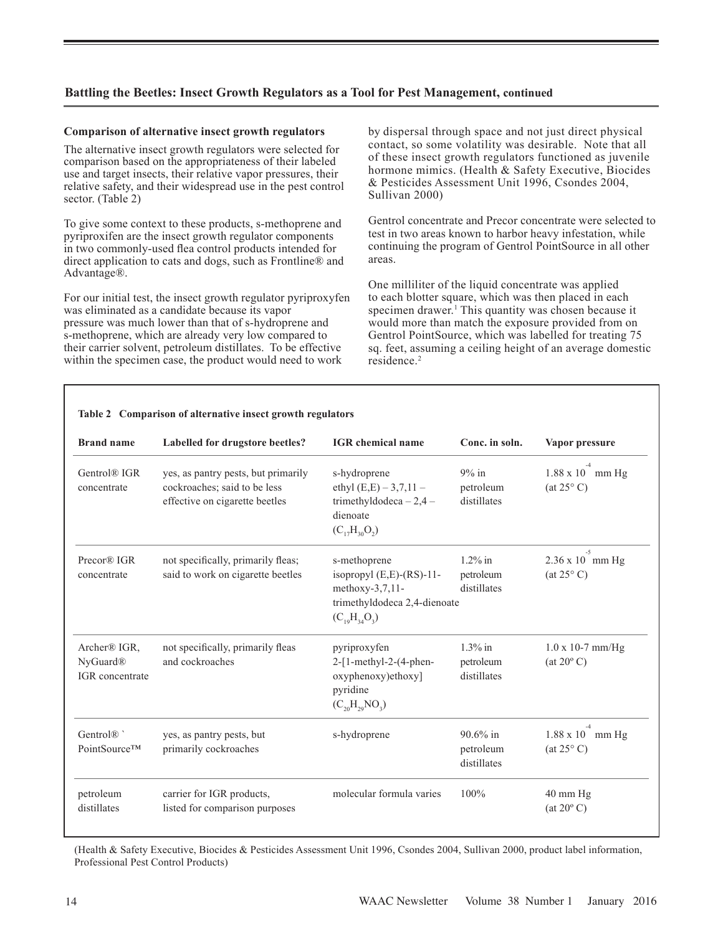#### **Comparison of alternative insect growth regulators**

The alternative insect growth regulators were selected for comparison based on the appropriateness of their labeled use and target insects, their relative vapor pressures, their relative safety, and their widespread use in the pest control sector. (Table 2)

To give some context to these products, s-methoprene and pyriproxifen are the insect growth regulator components in two commonly-used flea control products intended for direct application to cats and dogs, such as Frontline® and Advantage®.

For our initial test, the insect growth regulator pyriproxyfen was eliminated as a candidate because its vapor pressure was much lower than that of s-hydroprene and s-methoprene, which are already very low compared to their carrier solvent, petroleum distillates. To be effective within the specimen case, the product would need to work

by dispersal through space and not just direct physical contact, so some volatility was desirable. Note that all of these insect growth regulators functioned as juvenile hormone mimics. (Health & Safety Executive, Biocides & Pesticides Assessment Unit 1996, Csondes 2004, Sullivan 2000)

Gentrol concentrate and Precor concentrate were selected to test in two areas known to harbor heavy infestation, while continuing the program of Gentrol PointSource in all other areas.

One milliliter of the liquid concentrate was applied to each blotter square, which was then placed in each specimen drawer.<sup>1</sup> This quantity was chosen because it would more than match the exposure provided from on Gentrol PointSource, which was labelled for treating 75 sq. feet, assuming a ceiling height of an average domestic residence.<sup>2</sup>

| <b>Brand name</b>                                       | Labelled for drugstore beetles?                                                                       | <b>IGR</b> chemical name                                                                                                      | Conc. in soln.                          | Vapor pressure                                        |
|---------------------------------------------------------|-------------------------------------------------------------------------------------------------------|-------------------------------------------------------------------------------------------------------------------------------|-----------------------------------------|-------------------------------------------------------|
| Gentrol® IGR<br>concentrate                             | yes, as pantry pests, but primarily<br>cockroaches; said to be less<br>effective on cigarette beetles | s-hydroprene<br>ethyl $(E,E) - 3,7,11 -$<br>trimethyldodeca $-2,4-$<br>dienoate<br>$(C_{17}H_{30}O_2)$                        | $9\%$ in<br>petroleum<br>distillates    | $-4$<br>1.88 x 10 mm Hg<br>$(at 25^{\circ} C)$        |
| Precor® IGR<br>concentrate                              | not specifically, primarily fleas;<br>said to work on cigarette beetles                               | s-methoprene<br>isopropyl $(E,E)$ - $(RS)$ -11-<br>methoxy- $3,7,11$ -<br>trimethyldodeca 2,4-dienoate<br>$(C_{10}H_{34}O_3)$ | $1.2\%$ in<br>petroleum<br>distillates  | $-5$<br>$2.36 \times 10$ mm Hg<br>$(at 25^{\circ} C)$ |
| Archer® IGR,<br>NyGuard <sup>®</sup><br>IGR concentrate | not specifically, primarily fleas<br>and cockroaches                                                  | pyriproxyfen<br>$2-[1-methyl-2-(4-phen-$<br>oxyphenoxy)ethoxy]<br>pyridine<br>$(C_{20}H_{29}NO_3)$                            | $1.3\%$ in<br>petroleum<br>distillates  | $1.0 \times 10-7$ mm/Hg<br>$(at 20^{\circ} C)$        |
| Gentrol <sup>®</sup><br>PointSource™                    | yes, as pantry pests, but<br>primarily cockroaches                                                    | s-hydroprene                                                                                                                  | $90.6\%$ in<br>petroleum<br>distillates | $-4$<br>1.88 x 10 mm Hg<br>(at 25° C)                 |
| petroleum<br>distillates                                | carrier for IGR products,<br>listed for comparison purposes                                           | molecular formula varies                                                                                                      | 100%                                    | 40 mm Hg<br>$(at 20^{\circ} C)$                       |

**Table 2 Comparison of alternative insect growth regulators**

(Health & Safety Executive, Biocides & Pesticides Assessment Unit 1996, Csondes 2004, Sullivan 2000, product label information, Professional Pest Control Products)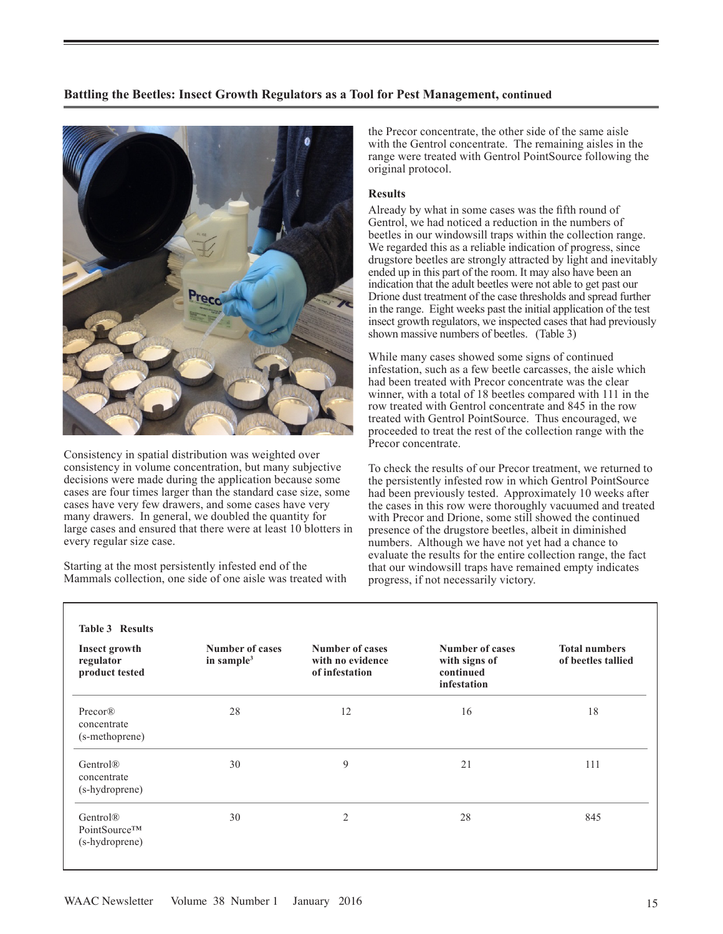

Consistency in spatial distribution was weighted over consistency in volume concentration, but many subjective decisions were made during the application because some cases are four times larger than the standard case size, some cases have very few drawers, and some cases have very many drawers. In general, we doubled the quantity for large cases and ensured that there were at least 10 blotters in every regular size case.

Starting at the most persistently infested end of the Mammals collection, one side of one aisle was treated with the Precor concentrate, the other side of the same aisle with the Gentrol concentrate. The remaining aisles in the range were treated with Gentrol PointSource following the original protocol.

#### **Results**

Already by what in some cases was the fifth round of Gentrol, we had noticed a reduction in the numbers of beetles in our windowsill traps within the collection range. We regarded this as a reliable indication of progress, since drugstore beetles are strongly attracted by light and inevitably ended up in this part of the room. It may also have been an indication that the adult beetles were not able to get past our Drione dust treatment of the case thresholds and spread further in the range. Eight weeks past the initial application of the test insect growth regulators, we inspected cases that had previously shown massive numbers of beetles. (Table 3)

While many cases showed some signs of continued infestation, such as a few beetle carcasses, the aisle which had been treated with Precor concentrate was the clear winner, with a total of 18 beetles compared with 111 in the row treated with Gentrol concentrate and 845 in the row treated with Gentrol PointSource. Thus encouraged, we proceeded to treat the rest of the collection range with the Precor concentrate.

To check the results of our Precor treatment, we returned to the persistently infested row in which Gentrol PointSource had been previously tested. Approximately 10 weeks after the cases in this row were thoroughly vacuumed and treated with Precor and Drione, some still showed the continued presence of the drugstore beetles, albeit in diminished numbers. Although we have not yet had a chance to evaluate the results for the entire collection range, the fact that our windowsill traps have remained empty indicates progress, if not necessarily victory.

| Insect growth<br>regulator<br>product tested           | <b>Number of cases</b><br>in sample <sup>3</sup> | Number of cases<br>with no evidence<br>of infestation | Number of cases<br>with signs of<br>continued<br>infestation | <b>Total numbers</b><br>of beetles tallied |
|--------------------------------------------------------|--------------------------------------------------|-------------------------------------------------------|--------------------------------------------------------------|--------------------------------------------|
| Precor@<br>concentrate<br>(s-methoprene)               | 28                                               | 12                                                    | 16                                                           | 18                                         |
| Gentrol®<br>concentrate<br>(s-hydroprene)              | 30                                               | 9                                                     | 21                                                           | 111                                        |
| Gentrol <sup>®</sup><br>PointSource™<br>(s-hydroprene) | 30                                               | $\overline{2}$                                        | 28                                                           | 845                                        |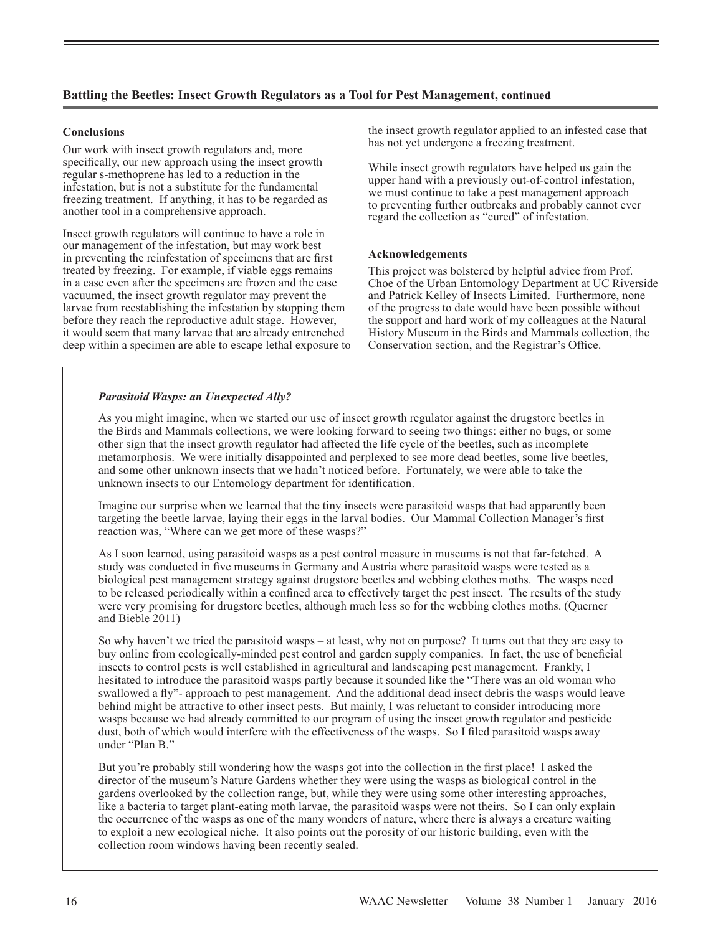### **Conclusions**

Our work with insect growth regulators and, more specifically, our new approach using the insect growth regular s-methoprene has led to a reduction in the infestation, but is not a substitute for the fundamental freezing treatment. If anything, it has to be regarded as another tool in a comprehensive approach.

Insect growth regulators will continue to have a role in our management of the infestation, but may work best in preventing the reinfestation of specimens that are first treated by freezing. For example, if viable eggs remains in a case even after the specimens are frozen and the case vacuumed, the insect growth regulator may prevent the larvae from reestablishing the infestation by stopping them before they reach the reproductive adult stage. However, it would seem that many larvae that are already entrenched deep within a specimen are able to escape lethal exposure to the insect growth regulator applied to an infested case that has not yet undergone a freezing treatment.

While insect growth regulators have helped us gain the upper hand with a previously out-of-control infestation, we must continue to take a pest management approach to preventing further outbreaks and probably cannot ever regard the collection as "cured" of infestation.

#### **Acknowledgements**

This project was bolstered by helpful advice from Prof. Choe of the Urban Entomology Department at UC Riverside and Patrick Kelley of Insects Limited. Furthermore, none of the progress to date would have been possible without the support and hard work of my colleagues at the Natural History Museum in the Birds and Mammals collection, the Conservation section, and the Registrar's Office.

#### *Parasitoid Wasps: an Unexpected Ally?*

As you might imagine, when we started our use of insect growth regulator against the drugstore beetles in the Birds and Mammals collections, we were looking forward to seeing two things: either no bugs, or some other sign that the insect growth regulator had affected the life cycle of the beetles, such as incomplete metamorphosis. We were initially disappointed and perplexed to see more dead beetles, some live beetles, and some other unknown insects that we hadn't noticed before. Fortunately, we were able to take the unknown insects to our Entomology department for identification.

Imagine our surprise when we learned that the tiny insects were parasitoid wasps that had apparently been targeting the beetle larvae, laying their eggs in the larval bodies. Our Mammal Collection Manager's first reaction was, "Where can we get more of these wasps?"

As I soon learned, using parasitoid wasps as a pest control measure in museums is not that far-fetched. A study was conducted in five museums in Germany and Austria where parasitoid wasps were tested as a biological pest management strategy against drugstore beetles and webbing clothes moths. The wasps need to be released periodically within a confined area to effectively target the pest insect. The results of the study were very promising for drugstore beetles, although much less so for the webbing clothes moths. (Querner and Bieble 2011)

So why haven't we tried the parasitoid wasps – at least, why not on purpose? It turns out that they are easy to buy online from ecologically-minded pest control and garden supply companies. In fact, the use of beneficial insects to control pests is well established in agricultural and landscaping pest management. Frankly, I hesitated to introduce the parasitoid wasps partly because it sounded like the "There was an old woman who swallowed a fly"- approach to pest management. And the additional dead insect debris the wasps would leave behind might be attractive to other insect pests. But mainly, I was reluctant to consider introducing more wasps because we had already committed to our program of using the insect growth regulator and pesticide dust, both of which would interfere with the effectiveness of the wasps. So I filed parasitoid wasps away under "Plan B."

But you're probably still wondering how the wasps got into the collection in the first place! I asked the director of the museum's Nature Gardens whether they were using the wasps as biological control in the gardens overlooked by the collection range, but, while they were using some other interesting approaches, like a bacteria to target plant-eating moth larvae, the parasitoid wasps were not theirs. So I can only explain the occurrence of the wasps as one of the many wonders of nature, where there is always a creature waiting to exploit a new ecological niche. It also points out the porosity of our historic building, even with the collection room windows having been recently sealed.